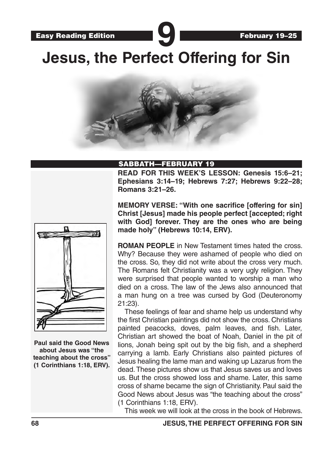Easy Reading Edition **900 Contract of the Edition Property 19–25 Jesus, the Perfect Offering for Sin**



#### SABBATH—FEBRUARY 19

**READ FOR THIS WEEK'S LESSON: Genesis 15:6–21; Ephesians 3:14–19; Hebrews 7:27; Hebrews 9:22–28; Romans 3:21–26.**



**Paul said the Good News about Jesus was "the teaching about the cross" (1 Corinthians 1:18, ERV).** **MEMORY VERSE: "With one sacrifice [offering for sin] Christ [Jesus] made his people perfect [accepted; right with God] forever. They are the ones who are being made holy" (Hebrews 10:14, ERV).**

**ROMAN PEOPLE** in New Testament times hated the cross. Why? Because they were ashamed of people who died on the cross. So, they did not write about the cross very much. The Romans felt Christianity was a very ugly religion. They were surprised that people wanted to worship a man who died on a cross. The law of the Jews also announced that a man hung on a tree was cursed by God (Deuteronomy 21:23).

These feelings of fear and shame help us understand why the first Christian paintings did not show the cross. Christians painted peacocks, doves, palm leaves, and fish. Later, Christian art showed the boat of Noah, Daniel in the pit of lions, Jonah being spit out by the big fish, and a shepherd carrying a lamb. Early Christians also painted pictures of Jesus healing the lame man and waking up Lazarus from the dead. These pictures show us that Jesus saves us and loves us. But the cross showed loss and shame. Later, this same cross of shame became the sign of Christianity. Paul said the Good News about Jesus was "the teaching about the cross" (1 Corinthians 1:18, ERV).

This week we will look at the cross in the book of Hebrews.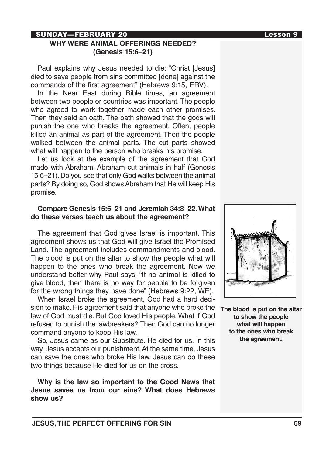# SUNDAY—FEBRUARY 20 Lesson 9

### **WHY WERE ANIMAL OFFERINGS NEEDED? (Genesis 15:6–21)**

Paul explains why Jesus needed to die: "Christ [Jesus] died to save people from sins committed [done] against the commands of the first agreement" (Hebrews 9:15, ERV).

In the Near East during Bible times, an agreement between two people or countries was important. The people who agreed to work together made each other promises. Then they said an oath. The oath showed that the gods will punish the one who breaks the agreement. Often, people killed an animal as part of the agreement. Then the people walked between the animal parts. The cut parts showed what will happen to the person who breaks his promise.

Let us look at the example of the agreement that God made with Abraham. Abraham cut animals in half (Genesis 15:6–21). Do you see that only God walks between the animal parts? By doing so, God shows Abraham that He will keep His promise.

#### **Compare Genesis 15:6–21 and Jeremiah 34:8–22. What do these verses teach us about the agreement?**

The agreement that God gives Israel is important. This agreement shows us that God will give Israel the Promised Land. The agreement includes commandments and blood. The blood is put on the altar to show the people what will happen to the ones who break the agreement. Now we understand better why Paul says, "If no animal is killed to give blood, then there is no way for people to be forgiven for the wrong things they have done" (Hebrews 9:22, WE).

When Israel broke the agreement, God had a hard decision to make. His agreement said that anyone who broke the law of God must die. But God loved His people. What if God refused to punish the lawbreakers? Then God can no longer command anyone to keep His law.

So, Jesus came as our Substitute. He died for us. In this way, Jesus accepts our punishment. At the same time, Jesus can save the ones who broke His law. Jesus can do these two things because He died for us on the cross.

**Why is the law so important to the Good News that Jesus saves us from our sins? What does Hebrews show us?**



**The blood is put on the altar to show the people what will happen to the ones who break the agreement.**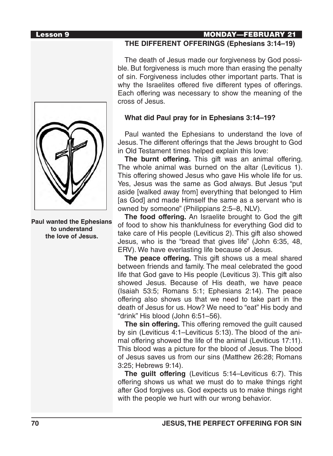**Paul wanted the Ephesians to understand the love of Jesus.**

# Lesson 9 MONDAY—FEBRUARY 21

# **THE DIFFERENT OFFERINGS (Ephesians 3:14–19)**

The death of Jesus made our forgiveness by God possible. But forgiveness is much more than erasing the penalty of sin. Forgiveness includes other important parts. That is why the Israelites offered five different types of offerings. Each offering was necessary to show the meaning of the cross of Jesus.

### **What did Paul pray for in Ephesians 3:14–19?**

Paul wanted the Ephesians to understand the love of Jesus. The different offerings that the Jews brought to God in Old Testament times helped explain this love:

**The burnt offering.** This gift was an animal offering. The whole animal was burned on the altar (Leviticus 1). This offering showed Jesus who gave His whole life for us. Yes, Jesus was the same as God always. But Jesus "put aside [walked away from] everything that belonged to Him [as God] and made Himself the same as a servant who is owned by someone" (Philippians 2:5–8, NLV).

**The food offering.** An Israelite brought to God the gift of food to show his thankfulness for everything God did to take care of His people (Leviticus 2). This gift also showed Jesus, who is the "bread that gives life" (John 6:35, 48, ERV). We have everlasting life because of Jesus.

**The peace offering.** This gift shows us a meal shared between friends and family. The meal celebrated the good life that God gave to His people (Leviticus 3). This gift also showed Jesus. Because of His death, we have peace (Isaiah 53:5; Romans 5:1; Ephesians 2:14). The peace offering also shows us that we need to take part in the death of Jesus for us. How? We need to "eat" His body and "drink" His blood (John 6:51–56).

**The sin offering.** This offering removed the guilt caused by sin (Leviticus 4:1–Leviticus 5:13). The blood of the animal offering showed the life of the animal (Leviticus 17:11). This blood was a picture for the blood of Jesus. The blood of Jesus saves us from our sins (Matthew 26:28; Romans 3:25; Hebrews 9:14).

**The guilt offering** (Leviticus 5:14–Leviticus 6:7). This offering shows us what we must do to make things right after God forgives us. God expects us to make things right with the people we hurt with our wrong behavior.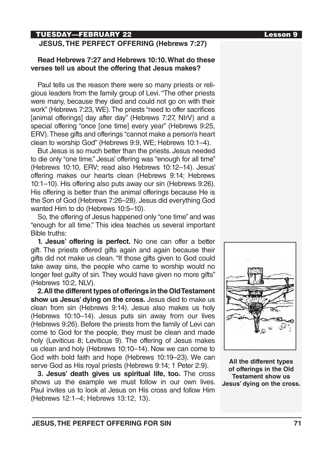# TUESDAY—FEBRUARY 22 Lesson 9

### **JESUS, THE PERFECT OFFERING (Hebrews 7:27)**

### **Read Hebrews 7:27 and Hebrews 10:10. What do these verses tell us about the offering that Jesus makes?**

Paul tells us the reason there were so many priests or religious leaders from the family group of Levi. "The other priests were many, because they died and could not go on with their work" (Hebrews 7:23, WE). The priests "need to offer sacrifices [animal offerings] day after day" (Hebrews 7:27, NIrV) and a special offering "once [one time] every year" (Hebrews 9:25, ERV). These gifts and offerings "cannot make a person's heart clean to worship God" (Hebrews 9:9, WE; Hebrews 10:1–4).

But Jesus is so much better than the priests. Jesus needed to die only "one time." Jesus' offering was "enough for all time" (Hebrews 10:10, ERV; read also Hebrews 10:12–14). Jesus' offering makes our hearts clean (Hebrews 9:14; Hebrews 10:1–10). His offering also puts away our sin (Hebrews 9:26). His offering is better than the animal offerings because He is the Son of God (Hebrews 7:26–28). Jesus did everything God wanted Him to do (Hebrews 10:5–10).

So, the offering of Jesus happened only "one time" and was "enough for all time." This idea teaches us several important Bible truths:

**1. Jesus' offering is perfect.** No one can offer a better gift. The priests offered gifts again and again because their gifts did not make us clean. "If those gifts given to God could take away sins, the people who came to worship would no longer feel guilty of sin. They would have given no more gifts" (Hebrews 10:2, NLV).

**2. All the different types of offerings in the Old Testament show us Jesus' dying on the cross.** Jesus died to make us clean from sin (Hebrews 9:14). Jesus also makes us holy (Hebrews 10:10–14). Jesus puts sin away from our lives (Hebrews 9:26). Before the priests from the family of Levi can come to God for the people, they must be clean and made holy (Leviticus 8; Leviticus 9). The offering of Jesus makes us clean and holy (Hebrews 10:10–14). Now we can come to God with bold faith and hope (Hebrews 10:19–23). We can serve God as His royal priests (Hebrews 9:14; 1 Peter 2:9).

**3. Jesus' death gives us spiritual life, too.** The cross shows us the example we must follow in our own lives. Paul invites us to look at Jesus on His cross and follow Him (Hebrews 12:1–4; Hebrews 13:12, 13).

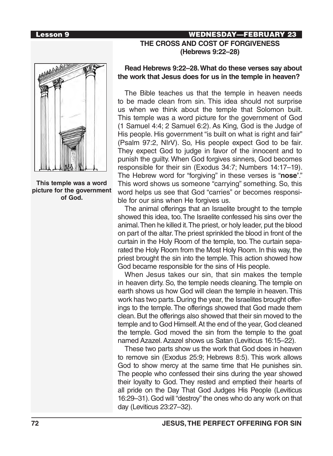# Lesson 9 WEDNESDAY—FEBRUARY 23 **THE CROSS AND COST OF FORGIVENESS (Hebrews 9:22–28)**



**This temple was a word picture for the government of God.**

### **Read Hebrews 9:22–28. What do these verses say about the work that Jesus does for us in the temple in heaven?**

The Bible teaches us that the temple in heaven needs to be made clean from sin. This idea should not surprise us when we think about the temple that Solomon built. This temple was a word picture for the government of God (1 Samuel 4:4; 2 Samuel 6:2). As King, God is the Judge of His people. His government "is built on what is right and fair" (Psalm 97:2, NIrV). So, His people expect God to be fair. They expect God to judge in favor of the innocent and to punish the guilty. When God forgives sinners, God becomes responsible for their sin (Exodus 34:7; Numbers 14:17–19). The Hebrew word for "forgiving" in these verses is "**nose'**." This word shows us someone "carrying" something. So, this word helps us see that God "carries" or becomes responsible for our sins when He forgives us.

The animal offerings that an Israelite brought to the temple showed this idea, too. The Israelite confessed his sins over the animal. Then he killed it. The priest, or holy leader, put the blood on part of the altar. The priest sprinkled the blood in front of the curtain in the Holy Room of the temple, too. The curtain separated the Holy Room from the Most Holy Room. In this way, the priest brought the sin into the temple. This action showed how God became responsible for the sins of His people.

When Jesus takes our sin, that sin makes the temple in heaven dirty. So, the temple needs cleaning. The temple on earth shows us how God will clean the temple in heaven. This work has two parts. During the year, the Israelites brought offerings to the temple. The offerings showed that God made them clean. But the offerings also showed that their sin moved to the temple and to God Himself. At the end of the year, God cleaned the temple. God moved the sin from the temple to the goat named Azazel. Azazel shows us Satan (Leviticus 16:15–22).

These two parts show us the work that God does in heaven to remove sin (Exodus 25:9; Hebrews 8:5). This work allows God to show mercy at the same time that He punishes sin. The people who confessed their sins during the year showed their loyalty to God. They rested and emptied their hearts of all pride on the Day That God Judges His People (Leviticus 16:29–31). God will "destroy" the ones who do any work on that day (Leviticus 23:27–32).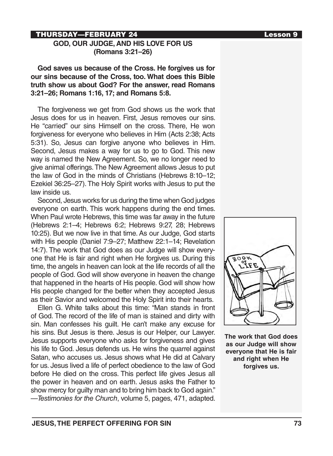# THURSDAY—FEBRUARY 24 Lesson 9

### **GOD, OUR JUDGE, AND HIS LOVE FOR US (Romans 3:21–26)**

**God saves us because of the Cross. He forgives us for our sins because of the Cross, too. What does this Bible truth show us about God? For the answer, read Romans 3:21–26; Romans 1:16, 17; and Romans 5:8.**

The forgiveness we get from God shows us the work that Jesus does for us in heaven. First, Jesus removes our sins. He "carried" our sins Himself on the cross. There, He won forgiveness for everyone who believes in Him (Acts 2:38; Acts 5:31). So, Jesus can forgive anyone who believes in Him. Second, Jesus makes a way for us to go to God. This new way is named the New Agreement. So, we no longer need to give animal offerings. The New Agreement allows Jesus to put the law of God in the minds of Christians (Hebrews 8:10–12; Ezekiel 36:25–27). The Holy Spirit works with Jesus to put the law inside us.

Second, Jesus works for us during the time when God judges everyone on earth. This work happens during the end times. When Paul wrote Hebrews, this time was far away in the future (Hebrews 2:1–4; Hebrews 6:2; Hebrews 9:27, 28; Hebrews 10:25). But we now live in that time. As our Judge, God starts with His people (Daniel 7:9–27; Matthew 22:1–14; Revelation 14:7). The work that God does as our Judge will show everyone that He is fair and right when He forgives us. During this time, the angels in heaven can look at the life records of all the people of God. God will show everyone in heaven the change that happened in the hearts of His people. God will show how His people changed for the better when they accepted Jesus as their Savior and welcomed the Holy Spirit into their hearts.

Ellen G. White talks about this time: "Man stands in front of God. The record of the life of man is stained and dirty with sin. Man confesses his guilt. He can't make any excuse for his sins. But Jesus is there. Jesus is our Helper, our Lawyer. Jesus supports everyone who asks for forgiveness and gives his life to God. Jesus defends us. He wins the quarrel against Satan, who accuses us. Jesus shows what He did at Calvary for us. Jesus lived a life of perfect obedience to the law of God before He died on the cross. This perfect life gives Jesus all the power in heaven and on earth. Jesus asks the Father to show mercy for guilty man and to bring him back to God again." —*Testimonies for the Church*, volume 5, pages, 471, adapted.



**The work that God does as our Judge will show everyone that He is fair and right when He forgives us.**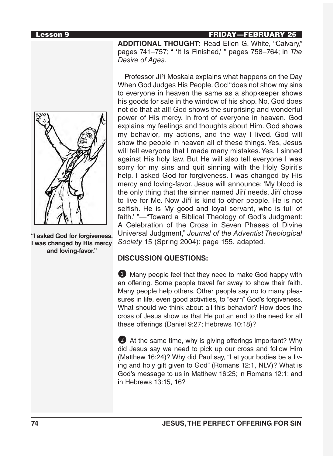# **Lesson 9 FRIDAY—FEBRUARY 25**

**ADDITIONAL THOUGHT:** Read Ellen G. White, "Calvary," pages 741–757; " 'It Is Finished,' " pages 758–764; in *The Desire of Ages.*



**"I asked God for forgiveness. I was changed by His mercy and loving-favor."**

Professor Jiří Moskala explains what happens on the Day When God Judges His People. God "does not show my sins to everyone in heaven the same as a shopkeeper shows his goods for sale in the window of his shop. No, God does not do that at all! God shows the surprising and wonderful power of His mercy. In front of everyone in heaven, God explains my feelings and thoughts about Him. God shows my behavior, my actions, and the way I lived. God will show the people in heaven all of these things. Yes, Jesus will tell everyone that I made many mistakes. Yes, I sinned against His holy law. But He will also tell everyone I was sorry for my sins and quit sinning with the Holy Spirit's help. I asked God for forgiveness. I was changed by His mercy and loving-favor. Jesus will announce: 'My blood is the only thing that the sinner named Jiří needs. Jiří chose to live for Me. Now Jiří is kind to other people. He is not selfish. He is My good and loyal servant, who is full of faith.' "—"Toward a Biblical Theology of God's Judgment: A Celebration of the Cross in Seven Phases of Divine Universal Judgment," *Journal of the Adventist Theological Society* 15 (Spring 2004): page 155, adapted.

# **DISCUSSION QUESTIONS:**

**1** Many people feel that they need to make God happy with an offering. Some people travel far away to show their faith. Many people help others. Other people say no to many pleasures in life, even good activities, to "earn" God's forgiveness. What should we think about all this behavior? How does the cross of Jesus show us that He put an end to the need for all these offerings (Daniel 9:27; Hebrews 10:18)?

2 At the same time, why is giving offerings important? Why did Jesus say we need to pick up our cross and follow Him (Matthew 16:24)? Why did Paul say, "Let your bodies be a living and holy gift given to God" (Romans 12:1, NLV)? What is God's message to us in Matthew 16:25; in Romans 12:1; and in Hebrews 13:15, 16?